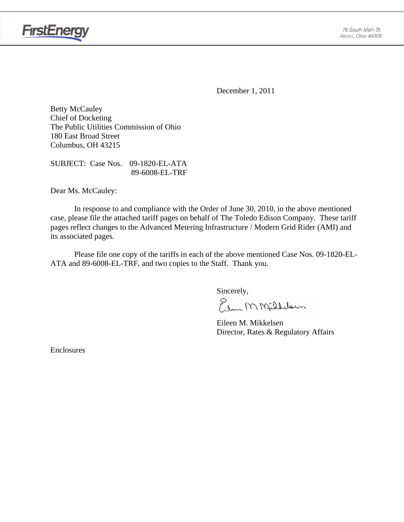

**FirstEnergy** 

December 1, 2011

Betty McCauley Chief of Docketing The Public Utilities Commission of Ohio 180 East Broad Street Columbus, OH 43215

SUBJECT: Case Nos. 09-1820-EL-ATA 89-6008-EL-TRF

Dear Ms. McCauley:

 In response to and compliance with the Order of June 30, 2010, in the above mentioned case, please file the attached tariff pages on behalf of The Toledo Edison Company. These tariff pages reflect changes to the Advanced Metering Infrastructure / Modern Grid Rider (AMI) and its associated pages.

Please file one copy of the tariffs in each of the above mentioned Case Nos. 09-1820-EL-ATA and 89-6008-EL-TRF, and two copies to the Staff. Thank you.

Sincerely,

Elem M Milleloun

 Eileen M. Mikkelsen Director, Rates & Regulatory Affairs

Enclosures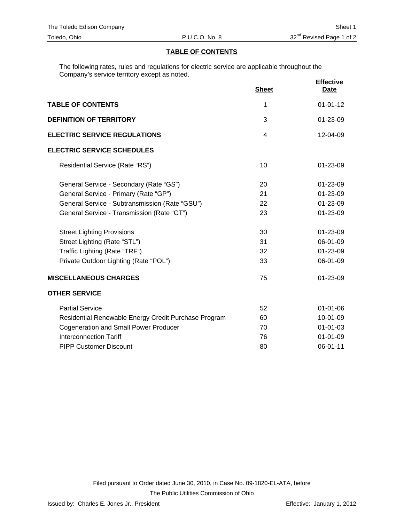## **TABLE OF CONTENTS**

The following rates, rules and regulations for electric service are applicable throughout the Company's service territory except as noted.

|                                                      | <b>Sheet</b>   | <b>Effective</b><br><b>Date</b> |
|------------------------------------------------------|----------------|---------------------------------|
| <b>TABLE OF CONTENTS</b>                             | 1              | $01 - 01 - 12$                  |
| <b>DEFINITION OF TERRITORY</b>                       | 3              | 01-23-09                        |
| <b>ELECTRIC SERVICE REGULATIONS</b>                  | $\overline{4}$ | $12 - 04 - 09$                  |
| <b>ELECTRIC SERVICE SCHEDULES</b>                    |                |                                 |
| Residential Service (Rate "RS")                      | 10             | 01-23-09                        |
| General Service - Secondary (Rate "GS")              | 20             | 01-23-09                        |
| General Service - Primary (Rate "GP")                | 21             | $01 - 23 - 09$                  |
| General Service - Subtransmission (Rate "GSU")       | 22             | 01-23-09                        |
| General Service - Transmission (Rate "GT")           | 23             | $01 - 23 - 09$                  |
| <b>Street Lighting Provisions</b>                    | 30             | 01-23-09                        |
| Street Lighting (Rate "STL")                         | 31             | 06-01-09                        |
| Traffic Lighting (Rate "TRF")                        | 32             | 01-23-09                        |
| Private Outdoor Lighting (Rate "POL")                | 33             | 06-01-09                        |
| <b>MISCELLANEOUS CHARGES</b>                         | 75             | 01-23-09                        |
| <b>OTHER SERVICE</b>                                 |                |                                 |
| <b>Partial Service</b>                               | 52             | $01 - 01 - 06$                  |
| Residential Renewable Energy Credit Purchase Program | 60             | 10-01-09                        |
| <b>Cogeneration and Small Power Producer</b>         | 70             | $01 - 01 - 03$                  |
| <b>Interconnection Tariff</b>                        | 76             | $01 - 01 - 09$                  |
| <b>PIPP Customer Discount</b>                        | 80             | 06-01-11                        |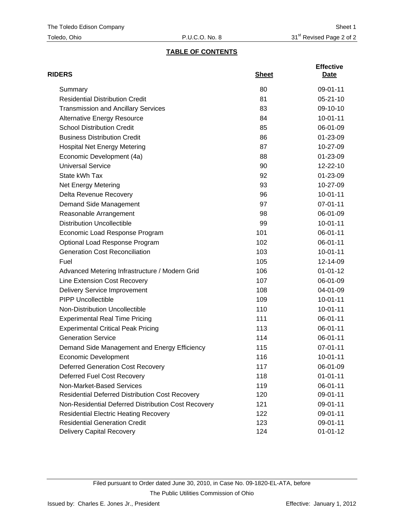## **TABLE OF CONTENTS**

| <b>RIDERS</b>                                          | <b>Sheet</b> | <b>Effective</b><br>Date |
|--------------------------------------------------------|--------------|--------------------------|
| Summary                                                | 80           | 09-01-11                 |
| <b>Residential Distribution Credit</b>                 | 81           | $05 - 21 - 10$           |
| <b>Transmission and Ancillary Services</b>             | 83           | 09-10-10                 |
| <b>Alternative Energy Resource</b>                     | 84           | $10 - 01 - 11$           |
| <b>School Distribution Credit</b>                      | 85           | 06-01-09                 |
| <b>Business Distribution Credit</b>                    | 86           | 01-23-09                 |
| <b>Hospital Net Energy Metering</b>                    | 87           | 10-27-09                 |
| Economic Development (4a)                              | 88           | 01-23-09                 |
| <b>Universal Service</b>                               | 90           | 12-22-10                 |
| State kWh Tax                                          | 92           | 01-23-09                 |
| Net Energy Metering                                    | 93           | 10-27-09                 |
| Delta Revenue Recovery                                 | 96           | $10 - 01 - 11$           |
| Demand Side Management                                 | 97           | 07-01-11                 |
| Reasonable Arrangement                                 | 98           | 06-01-09                 |
| <b>Distribution Uncollectible</b>                      | 99           | $10 - 01 - 11$           |
| Economic Load Response Program                         | 101          | 06-01-11                 |
| Optional Load Response Program                         | 102          | 06-01-11                 |
| <b>Generation Cost Reconciliation</b>                  | 103          | $10 - 01 - 11$           |
| Fuel                                                   | 105          | 12-14-09                 |
| Advanced Metering Infrastructure / Modern Grid         | 106          | $01 - 01 - 12$           |
| Line Extension Cost Recovery                           | 107          | 06-01-09                 |
| <b>Delivery Service Improvement</b>                    | 108          | 04-01-09                 |
| <b>PIPP Uncollectible</b>                              | 109          | $10-01-11$               |
| Non-Distribution Uncollectible                         | 110          | $10 - 01 - 11$           |
| <b>Experimental Real Time Pricing</b>                  | 111          | 06-01-11                 |
| <b>Experimental Critical Peak Pricing</b>              | 113          | 06-01-11                 |
| <b>Generation Service</b>                              | 114          | 06-01-11                 |
| Demand Side Management and Energy Efficiency           | 115          | 07-01-11                 |
| Economic Development                                   | 116          | 10-01-11                 |
| <b>Deferred Generation Cost Recovery</b>               | 117          | 06-01-09                 |
| Deferred Fuel Cost Recovery                            | 118          | $01 - 01 - 11$           |
| Non-Market-Based Services                              | 119          | 06-01-11                 |
| <b>Residential Deferred Distribution Cost Recovery</b> | 120          | 09-01-11                 |
| Non-Residential Deferred Distribution Cost Recovery    | 121          | 09-01-11                 |
| <b>Residential Electric Heating Recovery</b>           | 122          | 09-01-11                 |
| <b>Residential Generation Credit</b>                   | 123          | 09-01-11                 |
| <b>Delivery Capital Recovery</b>                       | 124          | $01 - 01 - 12$           |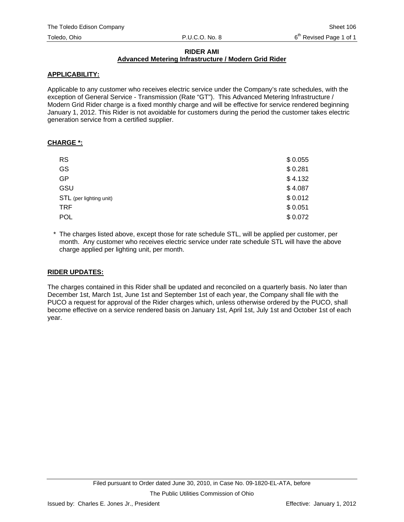#### **RIDER AMI Advanced Metering Infrastructure / Modern Grid Rider**

## **APPLICABILITY:**

Applicable to any customer who receives electric service under the Company's rate schedules, with the exception of General Service - Transmission (Rate "GT"). This Advanced Metering Infrastructure / Modern Grid Rider charge is a fixed monthly charge and will be effective for service rendered beginning January 1, 2012. This Rider is not avoidable for customers during the period the customer takes electric generation service from a certified supplier.

## **CHARGE \*:**

| <b>RS</b>               | \$0.055 |
|-------------------------|---------|
| <b>GS</b>               | \$0.281 |
| <b>GP</b>               | \$4.132 |
| GSU                     | \$4.087 |
| STL (per lighting unit) | \$0.012 |
| <b>TRF</b>              | \$0.051 |
| <b>POL</b>              | \$0.072 |

\* The charges listed above, except those for rate schedule STL, will be applied per customer, per month. Any customer who receives electric service under rate schedule STL will have the above charge applied per lighting unit, per month.

## **RIDER UPDATES:**

The charges contained in this Rider shall be updated and reconciled on a quarterly basis. No later than December 1st, March 1st, June 1st and September 1st of each year, the Company shall file with the PUCO a request for approval of the Rider charges which, unless otherwise ordered by the PUCO, shall become effective on a service rendered basis on January 1st, April 1st, July 1st and October 1st of each year.